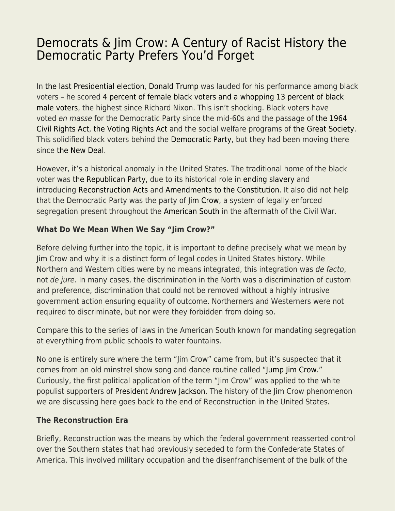## [Democrats & Jim Crow: A Century of Racist History the](https://everything-voluntary.com/democrats-jim-crow-a-century-of-racist-history-the-democratic-party-prefers-youd-forget) [Democratic Party Prefers You'd Forget](https://everything-voluntary.com/democrats-jim-crow-a-century-of-racist-history-the-democratic-party-prefers-youd-forget)

In [the last Presidential election,](https://en.wikipedia.org/wiki/2016_United_States_presidential_election) [Donald Trump](https://www.donaldjtrump.com/) was lauded for his performance among black voters – he scored [4 percent of female black voters and a whopping 13 percent of black](https://edition.cnn.com/election/2016/results/exit-polls/national/president) [male voters,](https://edition.cnn.com/election/2016/results/exit-polls/national/president) the highest since Richard Nixon. This isn't shocking. Black voters have voted en masse for the Democratic Party since the mid-60s and the passage of [the 1964](https://en.wikipedia.org/wiki/Civil_Rights_Act_of_1964) [Civil Rights Act](https://en.wikipedia.org/wiki/Civil_Rights_Act_of_1964), [the Voting Rights Act](https://www.history.com/topics/black-history/voting-rights-act) and the social welfare programs of [the Great Society](https://ammo.com/articles/lbj-great-society-war-on-poverty-welfare-state-helped-ruin-black-communities). This solidified black voters behind the [Democratic Party,](https://democrats.org/) but they had been moving there since [the New Deal.](https://www.history.com/topics/great-depression/new-deal)

However, it's a historical anomaly in the United States. The traditional home of the black voter was [the Republican Party,](https://www.gop.com/) due to its historical role in [ending slavery](https://en.wikipedia.org/wiki/Timeline_of_abolition_of_slavery_and_serfdom) and introducing [Reconstruction Acts](https://www.facinghistory.org/reconstruction-era/reconstruction-acts-1867) and [Amendments to the Constitution](https://www.senate.gov/artandhistory/history/common/generic/CivilWarAmendments.htm). It also did not help that the Democratic Party was the party of [Jim Crow](https://en.wikipedia.org/wiki/Jim_Crow_laws), a system of legally enforced segregation present throughout the [American South](https://en.wikipedia.org/wiki/Southern_United_States) in the aftermath of the Civil War.

## **What Do We Mean When We Say "Jim Crow?"**

Before delving further into the topic, it is important to define precisely what we mean by Jim Crow and why it is a distinct form of legal codes in United States history. While Northern and Western cities were by no means integrated, this integration was de facto, not de jure. In many cases, the discrimination in the North was a discrimination of custom and preference, discrimination that could not be removed without a highly intrusive government action ensuring equality of outcome. Northerners and Westerners were not required to discriminate, but nor were they forbidden from doing so.

Compare this to the series of laws in the American South known for mandating segregation at everything from public schools to water fountains.

No one is entirely sure where the term "Jim Crow" came from, but it's suspected that it comes from an old minstrel show song and dance routine called "[Jump Jim Crow.](https://en.wikipedia.org/wiki/Jump_Jim_Crow)" Curiously, the first political application of the term "Jim Crow" was applied to the white populist supporters of [President Andrew Jackson](https://en.wikipedia.org/wiki/Andrew_Jackson). The history of the Jim Crow phenomenon we are discussing here goes back to the end of Reconstruction in the United States.

## **The Reconstruction Era**

Briefly, Reconstruction was the means by which the federal government reasserted control over the Southern states that had previously seceded to form the Confederate States of America. This involved military occupation and the disenfranchisement of the bulk of the